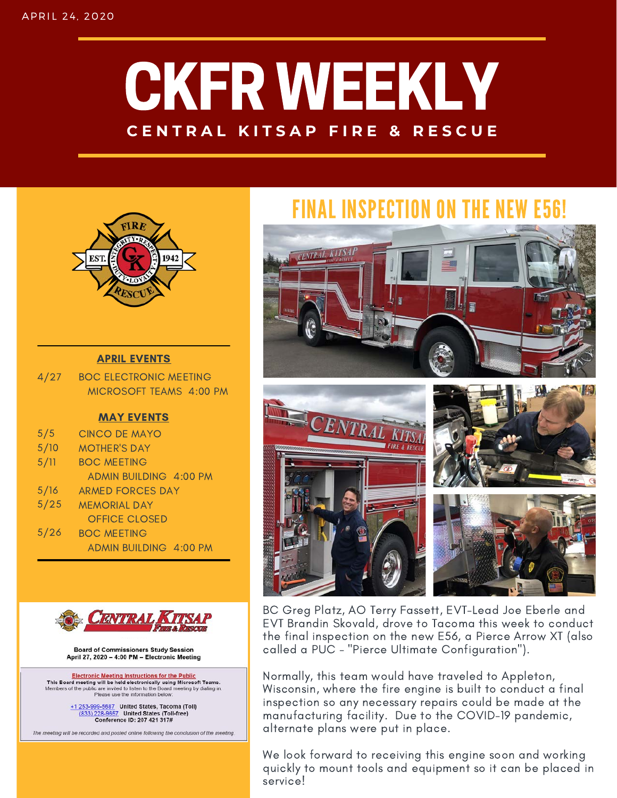# CKFR WEEKLY **C E N T R A L K I T S A P F I R E & R E S C U E**



#### APRIL EVENTS

4/27 BOC ELECTRONIC MEETING MICROSOFT TEAMS 4:00 PM

#### MAY EVENTS

| 5/5  | <b>CINCO DE MAYO</b>          |
|------|-------------------------------|
| 5/10 | <b>MOTHER'S DAY</b>           |
| 5/11 | <b>BOC MEETING</b>            |
|      | <b>ADMIN BUILDING 4:00 PM</b> |
| 5/16 | <b>ARMED FORCES DAY</b>       |
| 5/25 | <b>MEMORIAL DAY</b>           |
|      | <b>OFFICE CLOSED</b>          |
| 5/26 | <b>BOC MEETING</b>            |
|      | ADMIN BUILDING 4:00 PM        |



**Board of Commissioners Study Session** April 27, 2020 - 4:00 PM - Electronic Meeting

**Electronic Meeting Instructions for the Public** This Board meeting will be held electronically using Microsoft Teams.<br>Members of the public are invited to listen to the Board meeting by dialing in.<br>Please use the information below:

+1 253-999-5687 United States, Tacoma (Toll)<br>(833) 228-9657 United States (Toll-free)<br>Conference ID: 207 421 317#

The meeting will be recorded and posted online following the conclusion of the meeting

#### FINAL INSPECTION ON THE NEW E56!





BC Greg Platz, AO Terry Fassett, EVT-Lead Joe Eberle and EVT Brandin Skovald, drove to Tacoma this week to conduct the final inspection on the new E56, a Pierce Arrow XT (also called a PUC - "Pierce Ultimate Configuration").

Normally, this team would have traveled to Appleton, Wisconsin, where the fire engine is built to conduct a final inspection so any necessary repairs could be made at the manufacturing facility. Due to the COVID-19 pandemic, alternate plans were put in place.

We look forward to receiving this engine soon and working quickly to mount tools and equipment so it can be placed in service!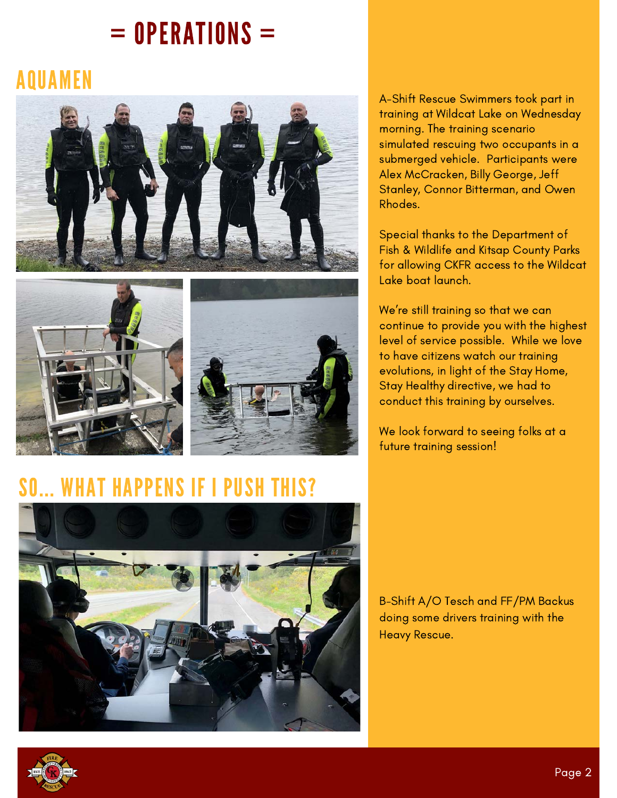## $= 0$ PERATIONS  $=$

### AQUAMEN





A-Shift Rescue Swimmers took part in training at Wildcat Lake on Wednesday morning. The training scenario simulated rescuing two occupants in a submerged vehicle. Participants were Alex McCracken, Billy George, Jeff Stanley, Connor Bitterman, and Owen Rhodes.

Special thanks to the Department of Fish & Wildlife and Kitsap County Parks for allowing CKFR access to the Wildcat Lake boat launch.

We're still training so that we can continue to provide you with the highest level of service possible. While we love to have citizens watch our training evolutions, in light of the Stay Home, Stay Healthy directive, we had to conduct this training by ourselves.

We look forward to seeing folks at a future training session!

### SO... WHAT HAPPENS IF I PUSH



B-Shift A/O Tesch and FF/PM Backus doing some drivers training with the Heavy Rescue.

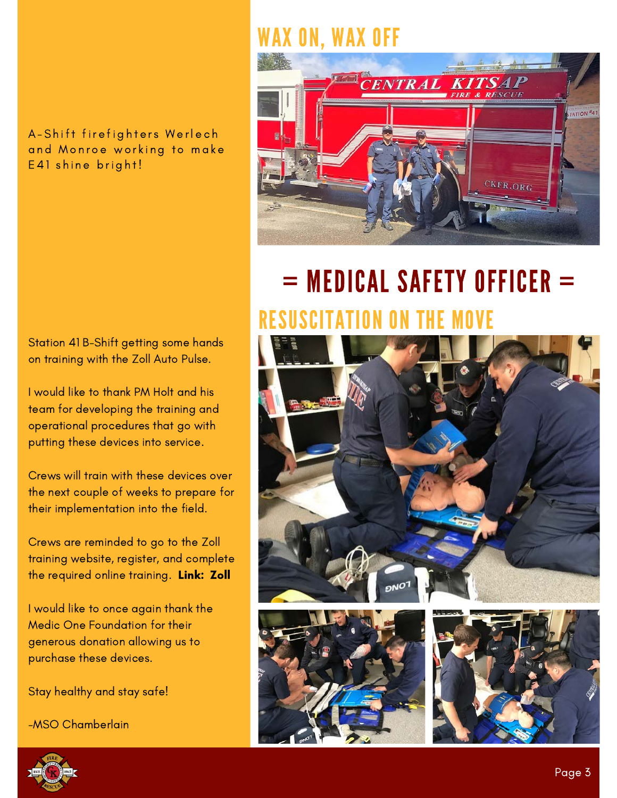### WAX ON, WAX OFF





Station 41 B-Shift getting some hands on training with the Zoll Auto Pulse.

I would like to thank PM Holt and his team for developing the training and operational procedures that go with putting these devices into service.

Crews will train with these devices over the next couple of weeks to prepare for their implementation into the field.

Crews are reminded to go to the Zoll training website, register, and complete the required online training. [Link: Zoll](https://elearning.zoll.com/#/signup-form)

I would like to once again thank the Medic One Foundation for their generous donation allowing us to purchase these devices.

Stay healthy and stay safe!

-MSO Chamberlain



# $=$  MEDICAL SAFETY OFFICER  $=$ **ESUSCITATION ON THE MOVE**